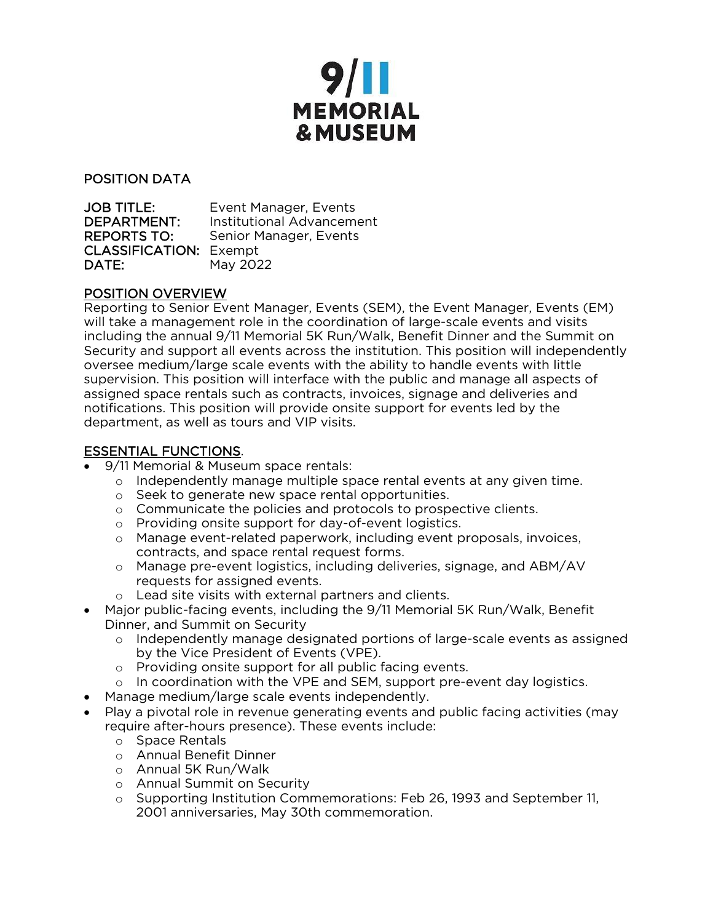

POSITION DATA

JOB TITLE: Event Manager, Events DEPARTMENT: Institutional Advancement REPORTS TO: Senior Manager, Events CLASSIFICATION: Exempt **DATE:** May 2022

### POSITION OVERVIEW

Reporting to Senior Event Manager, Events (SEM), the Event Manager, Events (EM) will take a management role in the coordination of large-scale events and visits including the annual 9/11 Memorial 5K Run/Walk, Benefit Dinner and the Summit on Security and support all events across the institution. This position will independently oversee medium/large scale events with the ability to handle events with little supervision. This position will interface with the public and manage all aspects of assigned space rentals such as contracts, invoices, signage and deliveries and notifications. This position will provide onsite support for events led by the department, as well as tours and VIP visits.

# ESSENTIAL FUNCTIONS.

- 9/11 Memorial & Museum space rentals:
	- $\circ$  Independently manage multiple space rental events at any given time.
	- o Seek to generate new space rental opportunities.
	- o Communicate the policies and protocols to prospective clients.
	- o Providing onsite support for day-of-event logistics.
	- o Manage event-related paperwork, including event proposals, invoices, contracts, and space rental request forms.
	- o Manage pre-event logistics, including deliveries, signage, and ABM/AV requests for assigned events.
	- o Lead site visits with external partners and clients.
- Major public-facing events, including the 9/11 Memorial 5K Run/Walk, Benefit Dinner, and Summit on Security
	- o Independently manage designated portions of large-scale events as assigned by the Vice President of Events (VPE).
	- o Providing onsite support for all public facing events.
	- $\circ$  In coordination with the VPE and SEM, support pre-event day logistics.
- Manage medium/large scale events independently.
- Play a pivotal role in revenue generating events and public facing activities (may require after-hours presence). These events include:
	- o Space Rentals
	- o Annual Benefit Dinner
	- o Annual 5K Run/Walk
	- o Annual Summit on Security
	- o Supporting Institution Commemorations: Feb 26, 1993 and September 11, 2001 anniversaries, May 30th commemoration.